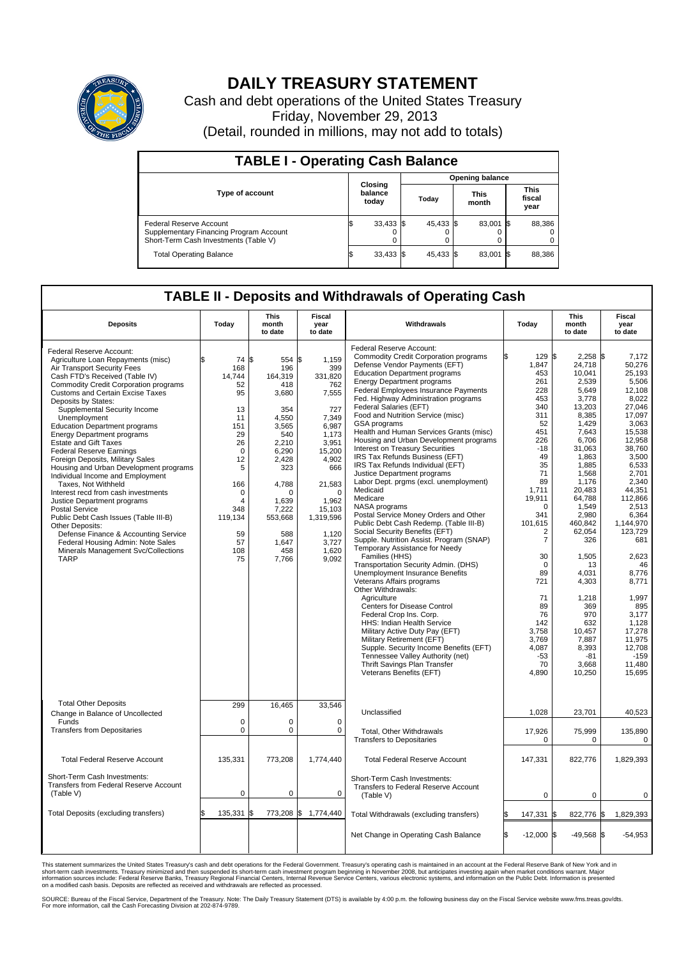

## **DAILY TREASURY STATEMENT**

Cash and debt operations of the United States Treasury Friday, November 29, 2013 (Detail, rounded in millions, may not add to totals)

| <b>TABLE I - Operating Cash Balance</b>                                                                     |  |                             |  |           |  |                      |  |                               |  |  |  |  |
|-------------------------------------------------------------------------------------------------------------|--|-----------------------------|--|-----------|--|----------------------|--|-------------------------------|--|--|--|--|
| <b>Opening balance</b>                                                                                      |  |                             |  |           |  |                      |  |                               |  |  |  |  |
| <b>Type of account</b>                                                                                      |  | Closing<br>balance<br>today |  | Today     |  | <b>This</b><br>month |  | <b>This</b><br>fiscal<br>year |  |  |  |  |
| Federal Reserve Account<br>Supplementary Financing Program Account<br>Short-Term Cash Investments (Table V) |  | $33,433$ \$                 |  | 45,433 \$ |  | 83,001 \$            |  | 88,386                        |  |  |  |  |
| <b>Total Operating Balance</b>                                                                              |  | $33,433$ \$                 |  | 45,433 \$ |  | 83,001 \$            |  | 88,386                        |  |  |  |  |

## **TABLE II - Deposits and Withdrawals of Operating Cash**

| <b>Deposits</b>                                                                                                                                                                                                                                                                                                                                                                                                                                                                                                                                                                                                                                                                                                                                                                                                                                                                          | Today                                                                                                                                                            | This<br>month<br>to date                                                                                                                                                                     | Fiscal<br>year<br>to date                                                                                                                                                                              | Withdrawals                                                                                                                                                                                                                                                                                                                                                                                                                                                                                                                                                                                                                                                                                                                                                                                                                                                                                                                                                                                                                                                                                                                                                                                                                                                                                                                             | Today                                                                                                                                                                                                                                                                                                | This<br>month<br>to date                                                                                                                                                                                                                                                                                                                              | Fiscal<br>year<br>to date                                                                                                                                                                                                                                                                                                                                 |
|------------------------------------------------------------------------------------------------------------------------------------------------------------------------------------------------------------------------------------------------------------------------------------------------------------------------------------------------------------------------------------------------------------------------------------------------------------------------------------------------------------------------------------------------------------------------------------------------------------------------------------------------------------------------------------------------------------------------------------------------------------------------------------------------------------------------------------------------------------------------------------------|------------------------------------------------------------------------------------------------------------------------------------------------------------------|----------------------------------------------------------------------------------------------------------------------------------------------------------------------------------------------|--------------------------------------------------------------------------------------------------------------------------------------------------------------------------------------------------------|-----------------------------------------------------------------------------------------------------------------------------------------------------------------------------------------------------------------------------------------------------------------------------------------------------------------------------------------------------------------------------------------------------------------------------------------------------------------------------------------------------------------------------------------------------------------------------------------------------------------------------------------------------------------------------------------------------------------------------------------------------------------------------------------------------------------------------------------------------------------------------------------------------------------------------------------------------------------------------------------------------------------------------------------------------------------------------------------------------------------------------------------------------------------------------------------------------------------------------------------------------------------------------------------------------------------------------------------|------------------------------------------------------------------------------------------------------------------------------------------------------------------------------------------------------------------------------------------------------------------------------------------------------|-------------------------------------------------------------------------------------------------------------------------------------------------------------------------------------------------------------------------------------------------------------------------------------------------------------------------------------------------------|-----------------------------------------------------------------------------------------------------------------------------------------------------------------------------------------------------------------------------------------------------------------------------------------------------------------------------------------------------------|
| Federal Reserve Account:<br>Agriculture Loan Repayments (misc)<br>Air Transport Security Fees<br>Cash FTD's Received (Table IV)<br><b>Commodity Credit Corporation programs</b><br><b>Customs and Certain Excise Taxes</b><br>Deposits by States:<br>Supplemental Security Income<br>Unemployment<br><b>Education Department programs</b><br><b>Energy Department programs</b><br><b>Estate and Gift Taxes</b><br><b>Federal Reserve Earnings</b><br>Foreign Deposits, Military Sales<br>Housing and Urban Development programs<br>Individual Income and Employment<br>Taxes, Not Withheld<br>Interest recd from cash investments<br>Justice Department programs<br><b>Postal Service</b><br>Public Debt Cash Issues (Table III-B)<br>Other Deposits:<br>Defense Finance & Accounting Service<br>Federal Housing Admin: Note Sales<br>Minerals Management Svc/Collections<br><b>TARP</b> | 74 S<br>\$<br>168<br>14,744<br>52<br>95<br>13<br>11<br>151<br>29<br>26<br>$\Omega$<br>12<br>5<br>166<br>$\Omega$<br>4<br>348<br>119,134<br>59<br>57<br>108<br>75 | 554 \$<br>196<br>164,319<br>418<br>3,680<br>354<br>4.550<br>3,565<br>540<br>2,210<br>6,290<br>2.428<br>323<br>4.788<br>$\Omega$<br>1,639<br>7,222<br>553,668<br>588<br>1,647<br>458<br>7,766 | 1,159<br>399<br>331,820<br>762<br>7,555<br>727<br>7,349<br>6,987<br>1,173<br>3,951<br>15,200<br>4.902<br>666<br>21,583<br>$\Omega$<br>1,962<br>15,103<br>1,319,596<br>1,120<br>3,727<br>1,620<br>9,092 | Federal Reserve Account:<br><b>Commodity Credit Corporation programs</b><br>Defense Vendor Payments (EFT)<br><b>Education Department programs</b><br><b>Energy Department programs</b><br>Federal Employees Insurance Payments<br>Fed. Highway Administration programs<br>Federal Salaries (EFT)<br>Food and Nutrition Service (misc)<br>GSA programs<br>Health and Human Services Grants (misc)<br>Housing and Urban Development programs<br>Interest on Treasury Securities<br>IRS Tax Refunds Business (EFT)<br>IRS Tax Refunds Individual (EFT)<br>Justice Department programs<br>Labor Dept. prgms (excl. unemployment)<br>Medicaid<br>Medicare<br>NASA programs<br>Postal Service Money Orders and Other<br>Public Debt Cash Redemp. (Table III-B)<br>Social Security Benefits (EFT)<br>Supple. Nutrition Assist. Program (SNAP)<br>Temporary Assistance for Needy<br>Families (HHS)<br>Transportation Security Admin. (DHS)<br>Unemployment Insurance Benefits<br>Veterans Affairs programs<br>Other Withdrawals:<br>Agriculture<br>Centers for Disease Control<br>Federal Crop Ins. Corp.<br>HHS: Indian Health Service<br>Military Active Duty Pay (EFT)<br>Military Retirement (EFT)<br>Supple. Security Income Benefits (EFT)<br>Tennessee Valley Authority (net)<br>Thrift Savings Plan Transfer<br>Veterans Benefits (EFT) | 129<br>1,847<br>453<br>261<br>228<br>453<br>340<br>311<br>52<br>451<br>226<br>$-18$<br>49<br>35<br>71<br>89<br>1,711<br>19,911<br>$\mathbf 0$<br>341<br>101,615<br>2<br>$\overline{7}$<br>30<br>$\mathbf 0$<br>89<br>721<br>71<br>89<br>76<br>142<br>3,758<br>3,769<br>4,087<br>$-53$<br>70<br>4,890 | l\$<br>$2,258$ \$<br>24,718<br>10.041<br>2,539<br>5,649<br>3,778<br>13.203<br>8,385<br>1.429<br>7,643<br>6,706<br>31,063<br>1,863<br>1,885<br>1,568<br>1,176<br>20,483<br>64,788<br>1,549<br>2,980<br>460.842<br>62,054<br>326<br>1,505<br>13<br>4.031<br>4,303<br>1,218<br>369<br>970<br>632<br>10,457<br>7,887<br>8,393<br>$-81$<br>3,668<br>10,250 | 7,172<br>50,276<br>25.193<br>5,506<br>12,108<br>8,022<br>27,046<br>17,097<br>3.063<br>15,538<br>12,958<br>38,760<br>3,500<br>6.533<br>2,701<br>2,340<br>44.351<br>112.866<br>2,513<br>6,364<br>1.144.970<br>123,729<br>681<br>2,623<br>46<br>8,776<br>8,771<br>1.997<br>895<br>3,177<br>1,128<br>17,278<br>11,975<br>12,708<br>$-159$<br>11,480<br>15,695 |
| <b>Total Other Deposits</b><br>Change in Balance of Uncollected                                                                                                                                                                                                                                                                                                                                                                                                                                                                                                                                                                                                                                                                                                                                                                                                                          | 299                                                                                                                                                              | 16,465                                                                                                                                                                                       | 33,546                                                                                                                                                                                                 | Unclassified                                                                                                                                                                                                                                                                                                                                                                                                                                                                                                                                                                                                                                                                                                                                                                                                                                                                                                                                                                                                                                                                                                                                                                                                                                                                                                                            | 1,028                                                                                                                                                                                                                                                                                                | 23,701                                                                                                                                                                                                                                                                                                                                                | 40,523                                                                                                                                                                                                                                                                                                                                                    |
| Funds<br><b>Transfers from Depositaries</b>                                                                                                                                                                                                                                                                                                                                                                                                                                                                                                                                                                                                                                                                                                                                                                                                                                              | $\mathbf 0$<br>0                                                                                                                                                 | $\Omega$<br>$\pmb{0}$                                                                                                                                                                        | $\Omega$<br>0                                                                                                                                                                                          | <b>Total, Other Withdrawals</b><br><b>Transfers to Depositaries</b>                                                                                                                                                                                                                                                                                                                                                                                                                                                                                                                                                                                                                                                                                                                                                                                                                                                                                                                                                                                                                                                                                                                                                                                                                                                                     | 17,926<br>$\mathbf 0$                                                                                                                                                                                                                                                                                | 75,999<br>$\mathbf 0$                                                                                                                                                                                                                                                                                                                                 | 135,890<br>$\mathbf 0$                                                                                                                                                                                                                                                                                                                                    |
| <b>Total Federal Reserve Account</b>                                                                                                                                                                                                                                                                                                                                                                                                                                                                                                                                                                                                                                                                                                                                                                                                                                                     | 135,331                                                                                                                                                          | 773,208                                                                                                                                                                                      | 1,774,440                                                                                                                                                                                              | <b>Total Federal Reserve Account</b>                                                                                                                                                                                                                                                                                                                                                                                                                                                                                                                                                                                                                                                                                                                                                                                                                                                                                                                                                                                                                                                                                                                                                                                                                                                                                                    | 147,331                                                                                                                                                                                                                                                                                              | 822,776                                                                                                                                                                                                                                                                                                                                               | 1,829,393                                                                                                                                                                                                                                                                                                                                                 |
| Short-Term Cash Investments:<br>Transfers from Federal Reserve Account<br>(Table V)                                                                                                                                                                                                                                                                                                                                                                                                                                                                                                                                                                                                                                                                                                                                                                                                      | $\mathbf 0$                                                                                                                                                      | $\mathbf 0$                                                                                                                                                                                  | 0                                                                                                                                                                                                      | Short-Term Cash Investments:<br>Transfers to Federal Reserve Account<br>(Table V)                                                                                                                                                                                                                                                                                                                                                                                                                                                                                                                                                                                                                                                                                                                                                                                                                                                                                                                                                                                                                                                                                                                                                                                                                                                       | $\mathbf 0$                                                                                                                                                                                                                                                                                          | $\Omega$                                                                                                                                                                                                                                                                                                                                              | $\Omega$                                                                                                                                                                                                                                                                                                                                                  |
| Total Deposits (excluding transfers)                                                                                                                                                                                                                                                                                                                                                                                                                                                                                                                                                                                                                                                                                                                                                                                                                                                     | \$<br>135,331 \$                                                                                                                                                 |                                                                                                                                                                                              | 773,208 \$ 1,774,440                                                                                                                                                                                   | Total Withdrawals (excluding transfers)                                                                                                                                                                                                                                                                                                                                                                                                                                                                                                                                                                                                                                                                                                                                                                                                                                                                                                                                                                                                                                                                                                                                                                                                                                                                                                 | 147,331                                                                                                                                                                                                                                                                                              | 822,776 \$<br>S.                                                                                                                                                                                                                                                                                                                                      | 1,829,393                                                                                                                                                                                                                                                                                                                                                 |
|                                                                                                                                                                                                                                                                                                                                                                                                                                                                                                                                                                                                                                                                                                                                                                                                                                                                                          |                                                                                                                                                                  |                                                                                                                                                                                              |                                                                                                                                                                                                        | Net Change in Operating Cash Balance                                                                                                                                                                                                                                                                                                                                                                                                                                                                                                                                                                                                                                                                                                                                                                                                                                                                                                                                                                                                                                                                                                                                                                                                                                                                                                    | \$.<br>$-12,000$ \$                                                                                                                                                                                                                                                                                  | $-49.568$ \\$                                                                                                                                                                                                                                                                                                                                         | $-54,953$                                                                                                                                                                                                                                                                                                                                                 |

This statement summarizes the United States Treasury's cash and debt operations for the Federal Government. Treasury's operating cash is maintained in an account at the Federal Reserve Bank of New York and in<br>short-term ca

SOURCE: Bureau of the Fiscal Service, Department of the Treasury. Note: The Daily Treasury Statement (DTS) is available by 4:00 p.m. the following business day on the Fiscal Service website www.fms.treas.gov/dts.<br>For more